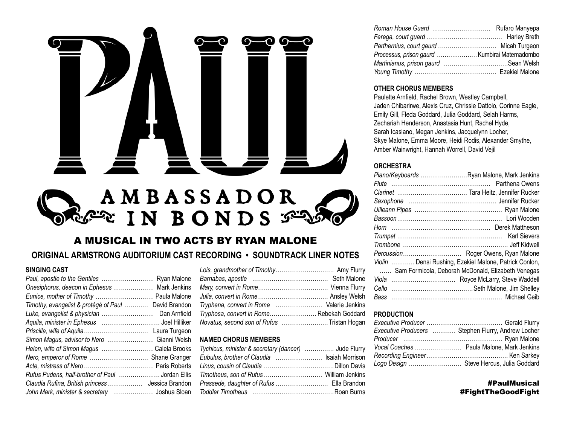

# A MUSICAL IN TWO ACTS BY RYAN MALONE

# ORIGINAL ARMSTRONG AUDITORIUM CAST RECORDING . SOUNDTRACK LINER NOTES

## SINGING CAST

| Paul, apostle to the Gentiles  Ryan Malone           |  |
|------------------------------------------------------|--|
| Onesiphorus, deacon in Ephesus  Mark Jenkins         |  |
| Eunice, mother of Timothy  Paula Malone              |  |
| Timothy, evangelist & protégé of Paul  David Brandon |  |
| Luke, evangelist & physician  Dan Arnfield           |  |
|                                                      |  |
|                                                      |  |
| Simon Magus, advisor to Nero  Gianni Welsh           |  |
| Helen, wife of Simon Magus  Calela Brooks            |  |
| Nero, emperor of Rome  Shane Granger                 |  |
|                                                      |  |
| Rufus Pudens, half-brother of Paul  Jordan Ellis     |  |
|                                                      |  |
| John Mark, minister & secretary  Joshua Sloan        |  |

| Tryphena, convert in Rome  Valerie Jenkins |
|--------------------------------------------|
| Tryphosa, convert in Rome Rebekah Goddard  |
| Novatus, second son of Rufus Tristan Hogan |

## **NAMED CHORUS MEMBERS**

| Tychicus, minister & secretary (dancer)  Jude Flurry |  |
|------------------------------------------------------|--|
| Eubulus, brother of Claudia  Isaiah Morrison         |  |
|                                                      |  |
|                                                      |  |
|                                                      |  |
|                                                      |  |

| Processus, prison gaurd  Kumbirai Matemadombo |  |
|-----------------------------------------------|--|
|                                               |  |
|                                               |  |

#### **OTHER CHORUS MEMBERS**

Paulette Arnfield, Rachel Brown, Westley Campbell, Jaden Chibarirwe, Alexis Cruz, Chrissie Dattolo, Corinne Eagle, Emily Gill, Fleda Goddard, Julia Goddard, Selah Harms, Zechariah Henderson, Anastasia Hunt, Rachel Hyde. Sarah Icasiano, Megan Jenkins, Jacquelynn Locher, Skye Malone, Emma Moore, Heidi Rodis, Alexander Smythe, Amber Wainwright, Hannah Worrell, David Vejil

## **ORCHESTRA**

| Piano/Keyboards Ryan Malone, Mark Jenkins              |  |
|--------------------------------------------------------|--|
|                                                        |  |
|                                                        |  |
|                                                        |  |
|                                                        |  |
|                                                        |  |
|                                                        |  |
|                                                        |  |
|                                                        |  |
|                                                        |  |
| Violin  Densi Rushing, Ezekiel Malone, Patrick Conlon, |  |
| Sam Formicola, Deborah McDonald, Elizabeth Venegas     |  |
|                                                        |  |
|                                                        |  |
|                                                        |  |

## **PRODUCTION**

| Executive Producers  Stephen Flurry, Andrew Locher |
|----------------------------------------------------|
|                                                    |
|                                                    |
|                                                    |
| Logo Design  Steve Hercus, Julia Goddard           |

## **#PaulMusical** #FightTheGoodFight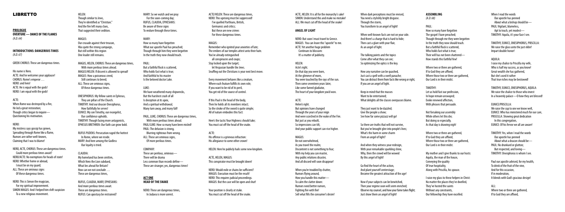# LIBRETTO

# **PROLOGUE OVERTURE — DANCE OF THE FLAMES**

*(A.D. 64)*

#### **Introductions: Dangerous Times** *(A.D. 67)*

GREEK CHORUS: These are dangerous times.

His name is Nero. ACTE: And he welcomes your applause! CHORUS: Rome's emperor … NERO: and hero! ACTE: He is equal with the gods! NERO: I am equal with the gods!

#### ACTE:

When Rome was destroyed by a fire, He led a great restoration; Though critics began to inquire— Questioning his motivation.

#### NERO:

HELEN: Though similar to Jews, They're identified as "Christian." And the fire left many clues, That suggested their sedition.

My mistress says gossip has grown, Spreading through Rome like a flame, Rumors are rather well-known, Claiming that I was to blame!

NERO, ACTE, CHORUS: These are dangerous times. Could more perilous times await? NERO/ACTE: No exemptions for heads of state! NERO: Whether home or abroad, I must be on my guard; ALL: These are ominous signs Of these dangerous times.

NERO: This is Simon the magician, For my spiritual improvement. SIMON MAGUS: And I helped him shift suspicion To a new religious movement.

MAGUS: Our crusade against their treason, Was quite the strong campaign, But still within this region One leader still remains.

MAGUS, HELEN, CHORUS: These are dangerous times, With more perilous times ahead. MAGUS/HELEN: If dissent is allowed to spread! MAGUS: How a poisonous creed, Still continues to breed; ALL: These are ominous signs, Of these dangerous times.

> We have weathered many shipwrecks. But the harshest crash of all Is deception at its apex, And a spiritual withdrawal; Many turn away, and many fall!

ONESIPHORUS: My fellow saints in Ephesus, They are pillars of the Church. TIMOTHY: And our deacon Onesiphorus, How faithfully he serves! EUNICE: My son Timothy, our evangelist, Our confidence upholds. TIMOTHY: Though facing more antagonists, EPHESUS BRETHREN: Our faith can grow bold.

RUFUS PUDENS: Persecution raged the hottest In Rome, where we reside. MARY: And here among the Godless Our loyalty is tried.

CLAUDIA: My homeland has been smitten, Which Nero the Lion subdued, What lies ahead for Britain? How can we not conclude … These are dangerous times,

RUFUS, CLAUDIA, MARY, EPHESIANS: And more perilous times await. These are dangerous times. RUFUS: Can apostasy be restrained?

MARY: So we watch and we pray For the soon-coming day; RUFUS, CLAUDIA, EPHESIANS: Be aware of these signs To endure through these times.

## MARY:

How so many have forgotten What our apostle Paul has preached; Though through him they were begotten In the truth they now should teach.

PAUL: But a faithful flock is scattered, Who holds fast what is true; And faithful to his master Is the beloved doctor Luke.

## LUKE:

When you're troubled by chatter, Rumors flying around, How you handle this matter— To calm the clatter down: Rumors need better rumors, Fighting fire with fire! Sell what fills the consumer's desire! When dark perceptions must be revised, You need a stylishly bright disquise. Through the storm, You transform to an angel of light!

PAUL, LUKE, CHORUS: These are dangerous times, With more perilous times ahead. PAUL/LUKE: How so many have been misled! PAUL: The delusion is strong, Blurring righteous from wrong. ALL: These are ominous signs, Of more perilous times.

COMPANY: These are perilous, ominous— There will be drama Less common than records define— These are stranger, yes, dangerous times!

#### **ACT ONE Head ofthe Sna k e**

NERO: These are dangerous times, In Judaea is more unrest.

They just want to be dazzled: Give the people a show; See how far some pizzazz will go!

ACTE/HELEN: These are dangerous times, NERO: This uprising must be suppressed! I've quelled Parthians, British, Germanics and critics; But these are new crimes For these dangerous times.

### MAGUS:

Remember who ignited your anxieties of late; The embers of our temples attest unto their hate. You've already extinguished all conspiracies and coups; Stay locked upon the target; let Vespasian handle the Jews. Snuffing out the Christians is your next best move.

Where two or three are gathered. If to God they are affixed, Where those two or three are gathered. Our Lord is in their midst.

Every movement behaves like a creature, Where each feature fulfills its own role; If you want to be rid of its peril, You get rid of the source of control.

> Where two or three are gathered. If to God they are affixed, Where those two or three are gathered, Our Lord is in their midst.

If this Paul is the head of the body, Then he holds all its members intact; So the stroke of the sword is quite simple: All of nature embodies this fact:

> My mother and I give thanks to our hosts: Aquila, the man of the house, Conveying the quality Of true hospitality, Along with Priscilla, his spouse.

Here's the tactic Your Highness should take; You must cut off the head of the snake.

ACTE: His offense is a grievous infraction: His allegiance to some other crown!

HELEN: Here he publicly hails some new kingdom.

ACTE, HELEN, MAGUS: This conspirator must be brought down!

NERO: Would exile or chains be sufficient? MAGUS: Execution must be the result! NERO: This requires judicial proceedings. MAGUS: But the case will be open and shut!

Your position is clearly at stake. You must cut off the head of the snake.

ACTE, HELEN: It is all for the monarchy's sake! SIMON: Understand this and make no mistake! ALL: We must cut off the head of the snake!

> $All:$ Where two or three are gathered. If to God they are affixed,

## **Angel of Light**

NERO: But soon I must travel to Greece. MAGUS: You can leave this "apostle" to me. ACTE: Yet another huge problem Continues to blossom: It's a matter of publicity.

### HELEN:

Acte's right. On that day you were born, At the glimmer of morn, You were touched by the rays of the sun. Then some seventeen years later, Like some famed gladiator, The heart of your kingdom you'd won.

## ACTE:

Helen's right. But opinions have changed Through the years of your reign And were scorched in the wake of the Fire. But just as you rebuilt. So impressions can tilt, And your public support can rise higher.

#### MAGUS:

Be not overwhelmed, As you travel the realm; Discontent is not something to fear; With my help you can master, Any public relations disaster, And all discord will soon disappear!

When well-known facts are not on your side. And there's a charge that is hard to hide; Then cast a glare with your flair, As an angel of light.

The talking points and the topics Come after what they can see; So optimizing the optics is the key.

How any narrative can be quashed, Just cast a spell with a swell panache; You can distract them from facts like wrong or right, If you are an angel of light.

Keep in mind that the masses Want to be entertained: What delights all the classes overpasses blame.

So there are truths that will not survive, But you've brought glee into people's lives; What's the harm in some charm From an angel of light?

And when they witness your redesign, With your remarkable sparkling shine, Why, then the crowd will be wowed By this angel of light!

Go find the heart of the action, And plant yourself centerstage; Become the greatest attraction of the age!

Now if your subjects can be bewitched, Then your regime soon will seem enriched; Observe my counsel, and how your fame takes flight; Just show them an angel of light!

#### **Assem bling** *(A.D. 68)*

PAUL: How so many have forgotten The gospel I have preached; Though through me they were begotten In the truth they now should teach. But a faithful flock is scattered, Who holds fast what is true; Their will has not been shattered—

How stands this faithful few!

#### TIMOTHY:

Let us hold fast our profession, In hope remain unswayed; Evoke renewed affection, With phrases that persuade.

Not forsaking our assembly While others let this die; But doing so especially, As that day is drawing nigh!

I raise my glass to these helpers in Christ: No matter the places they've dwelled, They've hosted the saints Without any constraints, Our fellowship they have excelled.

When I read the words Our apostle has penned About what a bishop should be— PAUL: Vigilant, blameless, Apt to teach, yet modest— TIMOTHY: Aquila, it's your face I see.

TIMOTHY, EUNICE, ONESIPHORUS, PRISCILLA: We raise the glass unto the just elder! Impart double honor!

#### AQUILA:

I raise my chalice to Priscilla my wife, Who is half my success, as you know! Great wealth she has gathered, But she's used it rather That true riches may be bestowed!

#### TIMOTHY, EUNICE, ONESIPHORUS, AQUILA: We raise the chalice to those who invest In a heavenly palace—O how they are blessed!

#### EUNICE/PRISCILLA:

We raise the cup to one we know well, EUNICE: Who has ministered much for our care, PRISCILLA: Showing great dedication In this congregation, EUNICE: Of his fervor we all are aware!

TIMOTHY: Yes, when I read the words Our apostle has penned About what a deacon should be— PAUL: No drunkard or glutton; But respected, and loving— TIMOTHY: Onesiphorus is whom I see.

Paul our apostle advised, for my health, To drink of the fruit of the vine, And for this occasion, If in moderation, It blends with God's gracious design!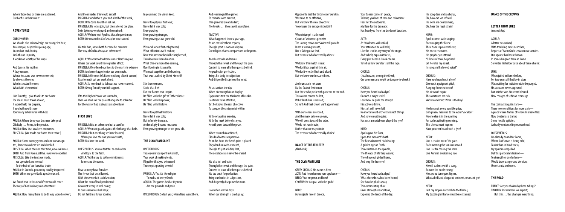Where those two or three are gathered, Our Lord is in their midst.

#### **Adventures**

#### ONESIPHORUS:

We should also acknowledge our evangelist here, An example, despite his young age, In conduct and charity, In faith and in purity, A workman worthy of his wage.

And Eunice, his mother, A lady renown, Whose husband was never converted; So she was the one, Who instructed her son: What faith she exerted!

Like Timothy, I give thanks to our hosts: For soon I must travel abroad, It would help me prepare, If you both could share Your many adventures with God.

AQUILA: Where does your business take you? ON: Italy … Rome, to be precise. AQUILA: Now that awakens memories. PRISCILLA: (We made our home their twice.)

AQUILA: Some twenty years and one caesar ago Yes, Rome was where we had dwelled, PRISCILLA: When there at that time, new evil arose, BOTH: And from Rome, all the Jews were expelled. PRISCILLA: Like the tents we made, we uprooted and moved To the hub of our lucrative trade; AQUILA: In Corinth, prosperity quickly improved BOTH: When we gave God's apostle our aid.

We found that in this new life we would enter: The way of God is always an adventure!

AQUILA: How many there to God's way would convert,

And the miracles this would entail! PRISCILLA: And after a year and a half of this work, BOTH: Unto Syria Paul then set sail. PRISCILLA: He let us join, but then altered the plan, So in Ephesus we stopped and remained; AQUILA: We here met Apollos, that eloquent man; BOTH: We ensured in God's way he was trained.

We told him, as we both became his mentors: The way of God is always an adventure!

> Stir those embers Stoke that fire! Fan the flames that inspire. Be filled with the gift of Father above; Be filled with His power; Be filled with His love.

AQUILA: We returned to Rome under Nero's regime, Where our work could have greater effect; PRISCILLA: We offered our lives to the martyr's extreme, BOTH: And were happy to risk our own necks. PRISCILLA: We soon left Rome not long after it burned; Its aftermath cut our work short. AQUILA: So here back to Ephesus we have returned, BOTH: Giving Timothy our full support.

If to this Higher Power we surrender, Then we shall sail the gales that guide to splendor. For the way of God is always an adventure!

#### **First Love**

PRISCILLA: It is an adventure but a sacrifice. AQUILA: We must guard against the lethargy that lurks. PRISCILLA: But one thing we have learned, When you love the one you work with, BOTH: You love the work.

ONESIPHORUS: You are faithful to each other And loyal to the faith. AQUILA: Yet the key to both commitments Is one and the same.

We also toil and train Through the sweat and through the pain, Content to leave all other quests behind. We too push for perfection, Bring our bodies in subjection, And diligently discipline the mind.

How often are the days When our strength is on display:

How so many have forsaken The fervor that once flamed, With these words it could awaken, What the pen of Paul proclaimed: Grow not weary in well doing; In due season we shall reap; Do not faint in all your sowing;

In your mind the vision keep.

Never forget your first love; Never let it wax cold; Fver growing, Ever growing stronger, Ever growing as we grow old.

We recall when first enlightened, What afflictions we'd endure; Now this passion should be heightened, This devotion should mature. What this era should be earning, Overflowing in its wealth; We must keep the candle burning, That was sparked by Christ Himself!

 $A$  $T$ F $\cdot$ As this drama will unfold, Your attention he will hold, Like the lead in any story of the stage. And to help explain it for us, Every plot needs a Greek chorus, To tell us how our star is all the rage.

Never forget that first love Never let it wax cold, But infinitely increase, And multiply beyond measure; Ever growing stronger as we grow old.

### **The Olympian Saint**

ONESIPHORUS: Those years you spent in Corinth, Your work of making tents, I'd gather that you witnessed Those epic sporting events?

PRISCILLA: Yes, it's like religion To each and every Greek. AQUILA: The games held at Olympia Are the pinnacle and peak.

ONESIPHORUS: So last year, when Nero went there,

And rearranged the games, To coincide with his visit, This garnered great disdain; The Greeks … they saw it as profane.

TIMOTHY: What happened there a year ago, As we consider these reports, Though sport is not our religion, Our religion shares comparisons with sports.

An athlete toils and trains Through the sweat and through the pain, Content to leave all other quests behind. He pushes for perfection, Brings his body in subjection, And diligently disciplines the mind.

At last arrives the day When his strength is on display: Opponents test the thickness of his skin. He strives to be effective, But he knows the real objective: To conquer the antagonist within!

When jailed in Rome before For two years all that lay in store Was waiting for indictments to be purged. His accusers never appeared, But neither was his record cleared, Now charges of sedition reemerge.

With exhaustive exercise, With the mark before his eyes, He will press toward the prize.

When triumph is achieved, Clouds of witnesses perceive As on his head the hero's prize is placed They don him with a wreath, Though it's just a fading leaf, The accolades can never be erased.

Opponents test the thickness of our skin. We strive to be effective. But we know the real objective: To conquer the antagonist within!

When triumph is achieved Clouds of witnesses perceive The lasting crown our Savior will provide Is not a waning wreath, Nor a fading olive leaf, But treasure which eternally abides!

We know this match is real: We don't box against thin air, We don't wrestle flesh and blood, But we know our foes are there.

But those who push with patience to the end.

And our race is not won By the fastest feet to run This course cannot be lost, If the finish line is crossed; So run! And that crown we'll apprehend!

With our senses exercised, And the mark before our eyes, We will press toward the prize. We do not run in vain, Rather that we may obtain The treasure which eternally abides!

**DANCE OF THE ATHLETES** *(flashback)*

## **The Olympian Lyre**

GREEK CHORUS: His name is Nero— ACTE: And he welcomes your applause— NERO: Your emperor and hero! CHORUS: He is equal with the gods!

NERO: My subjects here in Greece,

Your Caesar comes in peace, To bring you lives of ease and relaxation; Fear not the autocratic, My flare for the dramatic Has freed you from the burden of taxation.

CHORUS: (Just beware, among the Greek, Our commentary might be tongue-in-cheek.)

CHORUS: Have you heard such a lyre? On such a major scale? Look how he pulls the strings! His act we admire, His craft will never fail. No mortal could orchestrate such things. And so we must inquire: Has such a mortal ever played the lyre?

NERO: Apollo gave his favor,

Upon this monarch's birth. The Fates observed his blessing: A golden age on Earth. Three sisters on the spindle, The threads of life they weave; They draw out gilded fibers, And long life I receive!

CHORUS: Have you heard such a lyre? What shrewdness has been honed, See how he plucks away, This commenting choir Gives atmosphere and tone, Exposing the tenor of the day.

His song demands a chorus, Oh, how can we refrain? His skills are clearly sharp, Oh, hear the royal strain!

NERO:

Apollo comes with singing, Encouraging the Fates; Their hands spin ever faster; His music resonates. His prophecy is uttered: "O Fates of men, be poised! Let Nero be my equal, In song and hallowed voice!"

CHORUS:

Have you heard such a lyre? Give such a poignant pitch, Ranging from sea to sea? His air won't expire! The overtones are rich, We're wondering: What is the key?

He demands every possible prize, Brings new meaning to the word "vocalize"; No one else is in the running, For such captivating cunning, This chorus must inquire: Have you ever heard such a lyre?

NERO:

Like a chariot out of the gate, Each morning the sun is renewed. Like Lucifer chasing the stars, Like Aurora's awakening hue.

## CHORUS:

He will cadence with a bang, So note the noble twang! He says no tune goes higher, What a brilliant, eloquent, eminent, resonant lyre!

## NERO:

Lest my empire succumb to the flames, My dazzling brilliance must be restrained.

### **DANCE OF THE CROWNS**

## **Letter From Luke**

*(present day)*

## AQUILA:

A letter has arrived, With troubling news described, Reports of harm God's servant now sustains. Our apostle has been thrown In some dungeon there in Rome. So writes his helper Luke about these chains:

## LUKE:

The contrast is quite stark— These new conditions far more dark— A place where flames of fellowship have fled. Now treated as a traitor, Some hostile agitator, A deadly sentence lingers overhead.

## ONESIPHORUS:

I'm already bound for Rome, Where God's man is being held; To visit him in his distress, My spirit is compelled. But this particular decision— To strengthen one forlorn— Would draw danger and derision, Uncertainty and scorn.

## **The Road**

EUNICE: Are you shaken by these tidings? TIMOTHY: Persecution, we expect; But this … this changes everything.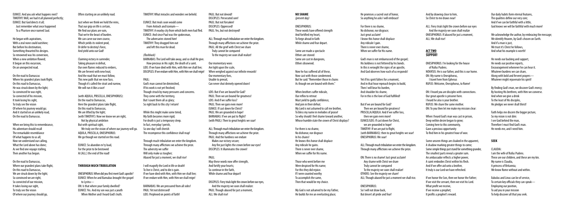EUNICE: And you ask what happens next? TIMOTHY: Well, we had it all planned perfectly; EUNICE: But God directs it all; Just remember what once happened To a Pharisee once named Saul.

He began with aspirations, With a zeal none could outshine; But before his destination, Something thwarted his designs. So renowned was his conversion, When a new ambition flowed: It began on this excursion, On an unexpected road.

On the road to Damascus Where his grandest plans took flight, On this road to Damascus, He was struck down by the light; So convinced he was right, So convicted of his mission, It took losing his sight, To truly see the vision Of where his journey would go; And it started on an unlikely road, On the road to Damascus.

When we bring this to remembrance, His adventure should recall The remarkable resemblance Of what happens to us all; Now we understand our calling, What the Lord above has done; As we find one voyage stalling, Then another has begun.

On the road to Damascus, Where our grandest plans take flight, On this road to Damascus, We are struck down by the light; So convinced we are right, So convicted of our mission, It takes losing our sight, To truly see the vision Of where our journey should go,

Often starting on an unlikely road.

Just when we think we hold the reins, That our grip on life is certain. We find our plans are vain. That we're the beast of burden. We can carve our own course. Which vields its violent prod. Or defer to destiny's force, And yield unto our God!

> God's man cannot be diminished, If his work is not yet finished; Though struck by many pressures and concerns. They come with the territory, But I count them all as glory; So right back to this city I return!

Claiming victory in surrender, Taking pleasure in defeat, Our own flames reduced to embers, We are fervent with new heat; And the road that we must follow, This new path that we now face, Though it's called the strait and narrow, We will run it like a race!

(with AQUILA, PRISCILLA, ONESIPHORUS): On the road to Damascus, Here the grandest plans take flight, On this road to Damascus, We are lifted by the light; (with TIMOTHY): Now we know we are right, Not by physical ambition But with spiritual sight, We truly see the vision of where our journey will go. AQUILA, PRISCILLA, ONESIPHORUS: We go though we started on this road.

PAUL: But not devoid! DISCIPLES: Persecuted sore! PAUL: But not forsaken! DISCIPLES: Oppressed! PAUL: Yes, but not destroyed!

EUNICE: So abandon ev'ry load, For the prize to be bestowed At (ALL:) the end of the road!

#### **Through Much Tribulation**

ONESIPHORUS: When did you first meet God's apostle? EUNICE: When he and Barnabas brought the gospel to Lystra— ON: Is that where your family dwelled? EUNICE: Yes. And my son was just a youth When Mother and I heard God's truth.

TIMOTHY: What miracles and wonders we beheld.

EUNICE: But rivals soon would come From Antioch and Iconium— TIMOTHY: A nearby city from which both men had fled. EUNICE: And since Paul was the spokesman, The adversaries stoned him! TIMOTHY: They dragged him out and left this man for dead.

## *(flashback)*

BARNABAS: The Lord will take away, and so shall He give. How precious in His sight, the death of a saint. LOIS: If we have died with Him, with Him we shall live; DISCIPLES: If we endure with Him, with Him we shall reign!

> When brothers suffer ridicule Our reflex to retreat Must yield to godly confidence, And join in their defeat. My Lord is not ashamed to call me brother, To bless my name in melodies of praise! So why should I feel shame toward another,

#### PAUL:

While this might make some timid, My faith becomes more rigid; For death is just a temporary sleep. In fact, everyday I perish, So one day I will cherish The recompense this confidence shall reap!

Through much tribulation we enter the kingdom. Through many afflictions we achieve the prize. The adversity we suffer Will only make us tougher; Abased for just a moment, we shall rise!

ON: There is no shame! Just great acclaim! Any shame with Christ we share Truly cannot be compared To the majesty we soon shall realize! OTHERS: See the majesty we share! ALL: Though abased for just a moment we shall rise.

I will magnify the Lord in life or death! To live is Christ, and to die is gain. If we have died with Him, with Him we shall live; If we endure with Him, with Him we shall reign!

ALL: Fiery trials light the crown before our eyes And the majesty we soon shall realize ONESIPHORUS: If abased for just a moment,  $All·$  We shall rise!

BARNABAS: We are pressured from all sides! PAUL: Yet not distressed! LOIS: Perplexed on points of faith!

ALL: Through much tribulation we enter the kingdom. Through many afflictions we achieve the prize. PAUL: All the grief with Christ we share Truly cannot be compared To the majesty we soon shall realize!

Our momentary woes Are light upon the scale, When weighed against our infinite rewards! Our momentary foes, Unable to prevail, Can never shut divinely opened doors!

LOIS: But if we are bound for God? PAUL: Then we are bound for greatness! LOIS: And if we suffer loss? PAUL: Then we gain even more! EUNICE: If cast down for Christ? PAUL: We are grounded in hope! BARNABAS: If we are put to flight? (with PAUL): Then to great heights we soar! He needs our backing and support, He needs our positive reports, Encouragement whenever he can hear it. Whatever burdens we can share, Along with bold and fervent prayers— Whatever might rejuvenate his spirit!

ALL: Through much tribulation we enter the kingdom. Through many afflictions we achieve the prize. PAUL: And the hardness we endure Makes our victory secure; Any fire just lights the crown before our eyes! DISCIPLES: It illuminates the crown!

## PAUL:

May these words now offer strength, And fortify your hearts; So continue in the faith, While shame and fear depart!

DISCIPLES: Fiery trials light the crown before our eyes, And the majesty we soon shall realize: PAUL: Though abased for just a moment, ALL: We shall rise!

#### **No Shame** *(present day)*

ONESIPHORUS: These words have offered strength And fortified my heart, To forge ahead in faith While shame and fear depart.

Some are made a spectacle Others are stoned Some are cast in dungeons, Others disowned.

Now he has suffered all of these, Now cast with those condemned. But he said: "Remember those in chains As though we are bound with them."

Whose humble state the crown of Christ displays?

For there is no shame, No dishonor, nor disgrace In his chains! He knows this honor shall displace Any ridicule he gains. There is never ever shame, When we suffer for His name.

Those who went before me Were despised for His name; For this they did rejoice. If I were counted worthy To accomplish the same, Then that would be my choice.

My God is not ashamed to be my Father, He builds for me an everlasting place;

He promises a sacred seat of honor, So anything he asks I will embrace!

For there is no shame, No dishonor, nor disgrace; Just great acclaim! I know this honor shall displace Any ridicule I gain. There is never ever shame, When we suffer for His name.

God's man is not embarrassed of the gospel; His boldness is not fettered by his bonds. In this is wrought the signs of an apostle, And God observes how each of us responds!

Yet if his spirit falters for a moment, And in that hour reproach begins to build, Then I will bear his burden, And shoulder his shame, For in this is the love of God fulfilled!

But if we are bound for God? Then we are bound for greatness! PRISCILLA/AQUILA: And if we suffer loss, then we gain even more! EUNICE/LOIS: If cast down for Christ, we are grounded in hope! TIMOTHY: If we are put to flight, (with BARNABAS): then to great heights we soar! ONESIPHORUS: We soar!

ALL: Through much tribulation we enter the kingdom. Through many afflictions we achieve the prize.

ONESIPHORUS:

So I will not draw back, But desert all pride and fear! And by drawing close to him, So Christ to me draws near!

## **ACT TWO Support**

ONESIPHORUS: I'm looking for the house of Rufus Pudens. NOVATUS: He is our father, and this is our home. ON: My name is Onesiphorus, I travel here from Ephesus RUFUS: Welcome, Onesiphorus, to Rome!

ON: I heard you are disciples with connections. Our great apostle is prisoner here. I heard he also is your brother. RUFUS: We share the same mother. ON: To you then let me make my mission clear:

When I heard God's man was cast in prison, Deep within desire began to grow; Coming here to this community, Gave a precious opportunity To find him in his greatest hour of woe.

Some unseen things are cloaked in the apparent, A shadow marking greater things to come; Some simple things just stand for something grander, The smallest parts reveal a greater sum. An ambassador reflects a higher power, A saint embodies Christ within his flesh. And if we offer aid unto a brother, It truly is our Lord we have refreshed.

If we honor the Son, then we honor the Father; If we visit the servant, then we visit his Lord. What profit we receive, If we receive a prophet; It profits a prophet's reward.

Our daily habits form eternal features, The qualities define our very core; And if we can be faithful with a little, God knows we will be faithful with much more!

We acknowledge the author, by embracing the message; We identify Heaven, by God's chosen on Earth. And if a man is just, We trust it's Christ he follows, And what his example is worth!

By finding God's man, we discover God's mercy; By hosting His brethren, with Him we converse. And when we give a drink To the least of His disciples, He pledges we never shall thirst!

Faith helps me discern the bigger picture, So my vision is not dim: I see God behind the man, Therefore I must find God's man. He needs me, and I need him.

## **Seek**

CLAUDIA: I am the wife of Rufus Pudens. These are our children, and these are my kin. My name is Claudia, A princess of Britannia; We know Rome without and within.

Eubulus and Linus can be of service, To certain key officials they can speak— Employing our position, To aid you in your mission To help discover all that you seek.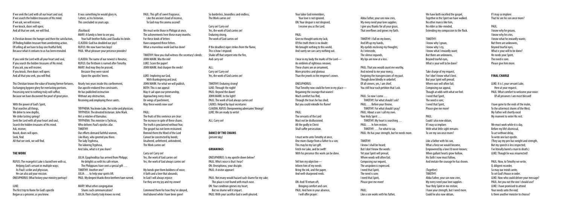If we seek the Lord with all our heart and soul, If we search the hidden treasures of His mind. If we ask, we will receive; If we knock, doors will open; And all that we seek, we will find.

A Christian knows the hunger and then the satisfaction, Of finding hidden treasure from unrelenting action. Of selling all we have to buy one fruitful field, Because what it contains to us has been revealed.

If you seek the Lord with all your heart and soul, If you search the hidden treasures of His mind. If you ask, you will receive; If you knock, then doors will open; And all that you seek, you will find.

With the power of God's Spirit, That searches all things, We delve to new depths, We strike lasting springs! Seek the Lord with all your heart and soul, Search the hidden treasures of His mind. Ask, receive; Knock, doors will open. Seek, find. All that we seek, we will find.

This Christian knows the value of leaving former fortunes, Exchanging bygone glory for everlasting portions. Possessing next to nothing truly will suffice, Because we have discovered the pearl of great price.

#### **The Work**

RUFUS: The evangelist Luke is based here with us, Helping God's servant in multiple ways; As Paul's scribe and physician, He can also aid your mission. ONESIPHORUS: What history your ministry portrays!

#### LUKE:

The first trip to Rome for God's apostle Began as a prisoner, as you know.

It was something he would glory in, I attest, as his historian. This concluded six years ago.

> We must write those in Philippi at once, The achievements here these many months. For these kinds of letters Have conquered these fetters. What a marvelous work God has done!

*(flashback)* MARY: A family is here to see you; Your half-brother Rufus and Claudia his bride. CLAUDIA: God has doubled our joys! RUFUS: We now have two boys! PAUL: What pleasure your presence provides!

CLAUDIA: The name of our newest is Novatus; RUFUS: Our firstborn is named after Timothy. MARY: And may they be praised, Because they were raised Upon the apostles' knees.

Nearly two years inside this confinement, Our apostle endured few constraints. He has published instruction Without any obstruction, Receiving and employing these saints.

 $AI$ Carry on! Carry on! Yes, the work of God carries on!

TRYPHENA: You know Luke, the scribe and physician; TRYPHOSA: The devoted historian: John Mark. He's a relative of Barnabus. TRYPHENA: This minister is Tychicus, Who delivers Paul's epistles afar. TIMOTHY: Our efforts demand faithful women, Like Mary, who greeted you there. The lady Tryphena, The laboring Tryphosa, And Julia, what is it you share?

JULIA: Epaphroditus has arrived from Philippi; He delights us with his safe return. The Philippians have sent a special gift … TIMOTHY: Another one? JULIA: … to help your spirits lift. PAUL: My deepest thanks these brethren have earned.

MARY: What other congregation Shares such communication? JULIA: Their charity truly knows no end. PAUL: This gift of sweet fragrance, Like the ancient cloud of incense, To God may this aroma ascend!

TIMOTHY: Now you shall witness the secretary's deeds: JOHN MARK: Mix the ink! LUKE: Score the paper! JOHN MARK: And sharpen the reeds!

LUKE: Imploring our God, With thanksgiving and zeal: JOHN MARK: For what we will publish, BOTH: This is our appeal: May it sail upon our penmanship, Approaching every shore; On wings of parchment, May these words now soar!

#### PAUL:

The fruits of this sentence are clear: The increase in spite of these chains. The truth is proclaimed without fear, The gospel has not been restrained. Remind them the Word of the Lord Cannot be constricted by bonds; Unaltered, unfettered, unhindered, The Work carries on!

We have both excelled the gospel. Together in the Spirit we have walked. No other man is like him, No elder as like-minded, Extending my compassion to the flock.

Carry on! Carry on! Yes, the work of God carries on! Yes, the work of God always carries on!

My bonds give them boldness of voice, A faith and a love that abounds; In God I will always rejoice: For they are my joy and my crown!

Commend them for how they've obeyed, And labored while I have been gone!

So borderless, boundless and endless, The Work carries on!

Carry on! Carry on! Yes, the work of God carries on! Enduring strong, The work of God carries on!

If the deadliest viper strikes from the flame, This is how I respond: Shake off that serpent into the fire, And carry on!

TIMOTHY: Enduring strong! LUKE: Through the night! PAUL: Beyond the dawn! JOHN MARK: In the light! PAUL: The work of God always carries on! LADIES: Helped by loyal secretaries CLAUDIA, RUFUS: Overpowering adversaries' throngs! LUKE: We are ready to write!

ALL: Carry on!

**DANCE OF THE CHAINS** *(present day)*

#### **Groanings**

ONESIPHORUS: Is my apostle down below? PAUL: Who's voice is that I hear? ON: Onesiphorus, your disciple. PAUL: A visitor appears!

PAUL: Not many would hazard such shame for my sake; This place is not found with much ease. ON: Your condition grieves my heart, But no shame will it impart. PAUL: With your sacrifice God is well-pleased.

Your labor God remembers, Your love is not ignored. ON: Your despair is not despised, I receive you as the Lord.

#### PAUL:

Give no thought unto my lack; Of this truth there is no doubt: We brought nothing to this world, And surely we can carry nothing out.

I bear in my body the marks of the Lord— An emblem of righteous renown: These chains are an ornament, More priceless and glorious Than the jewels in the emperor's crown.

That Timothy now could be here in my place—

ONESIPHORUS: Regaining the courage that wanes! Much comfort has fled, Through the tears he has shed; But you could rekindle his flame!

PAUL: The servants of the Lord

Must not be disillusioned. All the godly in Christ Shall suffer persecution.

I must write unto Timothy at once, One more charge from a father to a son; This may be my last gift. Fetch me Luke, and be swift! With his presence this work can be done.

Tell him my objective— Inform him of my needs: Bring the ink, and the paper, And well-sharpened reeds.

ON: And I'll return oft, Bringing comfort and care. PAUL: And here in your absence, I will offer prayer:

Abba Father, your son now cries, My every need your love supplies. I give you thanks for all your grace, That overflows and grows my faith.

TIMOTHY: I fall on my knees, And lift up my hands, My eyelids enclosing my thoughts; As I intercede, The silence expands, My lips are now at a loss.

PAUL: That you would count me worthy, And extend to me your mercy, Forgiving the transgressions of my past. Though done blindly in unbelief, Of all sinners, yes, I am chief, You still hear each petition that I ask.

PAUL: So now I come … TIMOTHY: For what should I ask? PAUL: … Before your throne, TIMOTHY: For what should I pray? PAUL: About a son I call my own. Your Holy Spirit ... TIMOTHY: My heart is searching … PAUL: … In him restore, TIMOTHY: … For what to say. PAUL: He has your strength, but he needs more.

TIMOTHY: I know I shall be heard; But I don't know the words. Yet your Spirit will prevail, Where words will often fail; Composing our request, The unspoken is expressed. I need that Spirit, The need is sore; I need that Spirit, Please give me more!

PAUL: Like a son works with his father, TIMOTHY: I know why I groan, I know why I cry, I know what I inwardly want; But there are unknowns, Beyond tearful eyes, What is your will to be done?

Take charge of my request, For I don't know what's best. But your Spirit will prevail, Where ours will often fail; Composing our appeal, Though at odds with what we feel. I need that Spirit, The need is sore; I need that Spirit, Please give me more!

PAUL: Could I also now obtain, If I may so implore: With what little sight remains To see my son once more?

Like a father with his son, What a force we would become, Empowered by a love I'd never known; When gallant hearts grow hollow. His faith I now must follow, And imitate the courage he has shown.

(Together) TIMOTHY: Abba Father, your son now cries, My every need your love supplies. Your Holy Spirit in me restore, I have your strength, but I need more. Could he also now obtain,

If I may so implore: That he see his son once more?

## PAUL:

I know why he groans, I know why he cries, I know what he inwardly wants; But there are unknowns, Beyond tearful eyes, What is your will to be done? He needs your Spirit, The need is sore. Please give him more.

#### **Final Charge**

LUKE: It is I, your servant Luke, Here at your request. PAUL: What comfort to welcome your voice: Of all prisoners I am most blessed!

I have gone to the ends of the realm, To the uttermost shores of the West; My Father will shortly excel My moment to enter His rest.

We must work while it is day, Before my life's dismissal, To act without delay, To write one last epistle. (They say my pen has weight and strength, But my speech is less respected; I've literally bored a man to death.) LUKE: Though he was resurrected!

PAUL: Now, to Timothy we write, O, diligent recorder, So may our minds unite, To set God's House in order. LUKE: Now who could deliver your message? PAUL: Are you not the one I should use? LUKE: I have promised to attend Your needs unto the end; Is there another minister to choose?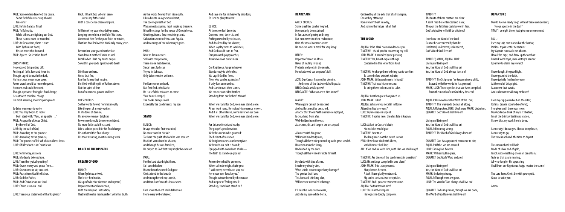PAUL: Some elders deserted the cause. Some faithful are serving abroad. Crescens? LUKE: He's in Galatia. Titus? PAUL: To Dalmatia. While others are fighting our God. These names must be recorded. LUKE: As for carriers, there is one: With Tychicus at hand, He can meet this demand. PAUL: Agreed. So let it be done!

#### ONESIPHORUS:

He prepared this parting gift, Putting all faith, love and hope in; Though caged beneath the dark, His heart was never more open. Fewer words could be more eloquent, No more zeal could he exert, Though a prisoner facing his final charge, He authored this final charge. His most assuring, most inspiring work.

So Luke was ready to write: LUKE: You may begin to recite; I will start with, "Paul, an apostle …" PAUL: An apostle of Jesus Christ, By the will of God, LUKE: By the will of God, PAUL: According to the promise, LUKE: According to the promise, PAUL: The promise of life which is in Christ Jesus. LUKE: Of life which is in Christ Jesus.

LUKE: To Timothy, my son? PAUL: My dearly beloved son. LUKE: Then the typical greeting? PAUL: Grace, mercy and peace from… LUKE: One moment, sir, to record… PAUL: Peace from God the Father LUKE: God the Father, PAUL: And Christ Jesus our Lord. LUKE: Christ Jesus our Lord.

LUKE: Then your statement of thanksgiving?

PAUL: I thank God whom I serve Just as my fathers did, With a conscience clean and pure. As the words flowed from his mouth Like a breeze in a grievous desert, The cooling breath of God Was a most assuring, most inspiring treasure. It had blessings for the house of Onesiphorus, Greetings from a few remaining saints, Salutations sent to Prisca and Aquila, And warnings of the adversary's gains.

Tell him of my ceaseless daily prayers, Longing to see him, mindful of his tears, Commend him for the pure faith he retains, That has dwelled within his family many years.

Remember your grandmother Lois Your devout mother Eunice as well. Recall when I laid my hands on you So within you God's Spirit would dwell.

Stir those embers, Stoke that fire, Fan the flames that inspire. Be filled with the gift of Father above; Not the spirit of fear, But of soberness, power and love.

#### ONESIPHORUS:

So the words flowed from his mouth, Like the pen of a ready writer; In shadows of demise, His eyes were never brighter. Fewer words could be more confident, No more faith could he assert, Like a soldier poised for his final charge, He authored this final charge. His most assuring, most inspiring work.

For this our feet stand ready: The gospel's proclamation. With this our mind is quarded: The helmet of salvation. With righteousness our breastplate, With truth our belt is bound; Equipped with sword and shield— The faith to stand our ground!

#### **Dance ofthe Dispatch**

#### **Breath of God**

EUNICE: When Tychicus arrived, The letter he'd recite, Was profitable for doctrine and reproof, Improvement and correction, With training and instruction, That brethren be made perfect with this truth.

When goals cannot be reached. And walls cannot be breached, A tactic that those Parthians have employed, Is crouching from afar, Well-hidden from the war, As archers, distant targets are destroyed.

PAUL: Now as for ministers Still with this prisoner, There is one last devotee. Since I sent Tychicus To you in Ephesus, Only Luke remains with me.

For Rome soon embark, But first find John Mark; He is useful for missions to come. Your haste I compel; The books bring as well, Especially the parchments, my son.

#### **Stand**

- EUNICE: It says when he first was tried, No man stood at his side To share the guilt of which he was accused. His faith would not be shaken, And though he was forsaken, He prayed to God that they might be excused.
- PAUL: For the Lord stood right there, So I could declare His truth to the crowd God gave. Christ stood in the breach And strengthened my speech, And from lions' mouths I was saved.

For I know the Lord shall deliver me From every evil endeavor,

And save me for his heavenly kingdom; To Him be glory forever!

#### EUNICE:

At times we feel deserted On some lone, desert island, Feeling crowded by seclusion, And deafened by the silence; When loyalty turns to loneliness, And faith could turn to fear, Companionship approaches; Assurance soon draws near.

TIMOTHY MARK, AOUILA, LUKE: Living on! Living on! Yes, the Word of God shall live on! Yes, the Word of God always lives on!

Our Righteous Judge in heaven Stands ready to defend us; We say: If God be for us, Then who can be against us? If only foes surround us, And start to cast their stones, We can see our elder Brother Standing from our Father's throne!

When we stand for God, we never stand alone. At our right hand, He makes His presence known. And if all others leave, we're never on our own: When we stand for God, we never stand alone.

Remember what He promised When solitude might shake you: "I will never, never leave you, no! Nor never ever forsake you." Though outnumbered by the masses And in spite of feeling small: Stand up, stand out, stand tall!

## **Deadly Aim**

#### GREEK CHORUS:

Some qualities can be feigned, Momentarily be sustained, In fantasies of poetry and song. But men revert to their real nature, Or in theatrical nomenclature: No one can wear a mask for very long!

#### HELEN:

Reports of revolt in Africa, News of mutiny in Gaul, Protests and plots in the senate, Foreshadowed our emperor's fall.

ACTE: Our Caesar has met his demise.

NERO: *Qualis artifex pereo!* NERO/ACTE: "What an artist dies in me!"

#### MAGUS:

A hunter with his game, Will make his deadly aim, Though all the while proceeding with great stealth. His vision must be sharp, Unclouded by the dark, Though all the while invisible himself.

My darts with tips aflame, I make my deadly aim, What shield can extinguish my barrage? The genius that I am, This forward-thinking plan, Will execute unrivaled sabotage.

I'll ride the long-term course, Astride my pure white horse,

And some of the last words he'd speak:

Outlived by all the acts that shall transpire. For as they often say, Rome wasn't built in a day, And so into the future I shall fire!

## **The Word**

AQUILA: John Mark has arrived to see you. TIMOTHY: I thank you for answering my call. JOHN MARK: It sounded quite pressing. TIMOTHY: Yes, I must express things Contained in this letter from Paul.

TIMOTHY: He charged me to bring you to see him To come before winter's rebuke; JOHN MARK: With parchments in hand? TIMOTHY: That was his command: To bring them to him and to Luke.

AQUILA: Another guest has joined us. JOHN MARK: Luke? AQUILA: Why are you not still in Rome Attending God's servant? LUKE: My message is urgent. TIMOTHY: If you're here, then his fate is known.

LUKE: At last to Caesar's blade, His neck he would give. TIMOTHY: How true: The king bears not the sword in vain. PAUL: If we have died with Christ, with Him we shall live; ALL: If we endure with Him, with Him we shall reign!

TIMOTHY: Are these all the parchments in question? LUKE: His writings compiled in one place? JOHN MARK: This set represents Many letters he sent, A task I have gladly embraced. My codex contains twelve epistles. TIMOTHY: And I possess two sent to me. AQUILA: So fourteen in size! LUKE: This number implies His legacy is doubly complete.

TIMOTHY: The fruits of these matters are clear: A saint may be sentenced and slain; Though the faithless could cower in fear, God's objective will still be attained!

I see how the Word of the Lord Cannot be constricted by bonds; Unaltered, unfettered, unhindered, God's Word shall live on!

TIMOTHY: The Scriptures I've known since a child, Expand with the words he has penned; MARK, LUKE: These epistles that we have compiled, From the mouth of our God they descend!

AQUILA: His words are the Word of the Lord; TIMOTHY: This was God's design all along. AQUILA: Outspoken, LUKE: Unshaken, MARK: Unbroken, QUARTET: God's Word shall live on!

Living on! Living on! Yes, the Word of God shall live on! AQUILA: Enduring strong, TIMOTHY: The Word of God always lives on!

QUARTET: God has appointed men once to die; AQUILA: Of this we are assured. LUKE: Fading like flowers, MARK: Withering like grass, QUARTET: But God's Word endures!

Living on! Living on! Yes, the Word of God shall live on! MARK: Enduring strong, AQUILA: Though men are gone, LUKE: The Word of God always shall live on!

QUARTET: Enduring strong, though we are gone, The Word of God forever shall live on!

### **Departure**

MARK: Are we ready to go with all these components, To our apostle in the East? TIM: I'll be right there; just give me one moment.

### PAUL:

I see my ship now docked at the harbor, Its final trip is set for departure: My Captain now calls me aboard. Uncoil the rope, and draw up the anchor; Embark with hope, raise victory's banner: I journey to claim my reward!

I have fought the good fight, I have guarded the faith, I have joyfully finished my race; At the end of this plight, Is a crown that awaits, And an honor we all may embrace!

I see my cup poured out on the altar; Its final drop is soon to be offered; I've given until there was none. May God now drink of my last libation; I'm at the brink of tasting salvation. I know that my work here is done.

I am ready, I know; yes, I know in my heart, I am ready to go, The time is at hand, the time to depart.

This crown that I will hold Made of silver and of gold, Is not just something one man can attain; Truly as that day is nearing, All who long for His appearing Shall from our Righteous Judge receive the same!

The Lord Jesus Christ be with your spirit. Grace be with you.

Amen.